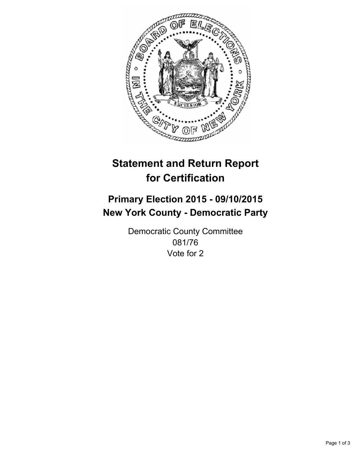

# **Statement and Return Report for Certification**

## **Primary Election 2015 - 09/10/2015 New York County - Democratic Party**

Democratic County Committee 081/76 Vote for 2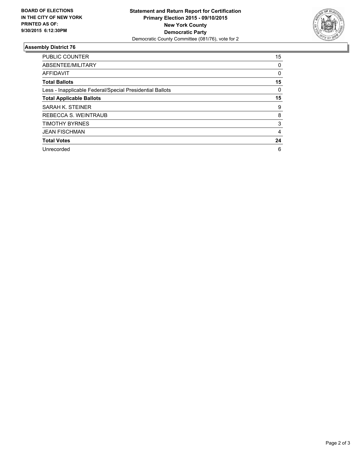

### **Assembly District 76**

| <b>PUBLIC COUNTER</b>                                    | 15 |
|----------------------------------------------------------|----|
| ABSENTEE/MILITARY                                        | 0  |
| <b>AFFIDAVIT</b>                                         | 0  |
| <b>Total Ballots</b>                                     | 15 |
| Less - Inapplicable Federal/Special Presidential Ballots | 0  |
| <b>Total Applicable Ballots</b>                          | 15 |
| SARAH K. STEINER                                         | 9  |
| REBECCA S. WEINTRAUB                                     | 8  |
| <b>TIMOTHY BYRNES</b>                                    | 3  |
| <b>JEAN FISCHMAN</b>                                     | 4  |
| <b>Total Votes</b>                                       | 24 |
| Unrecorded                                               | 6  |